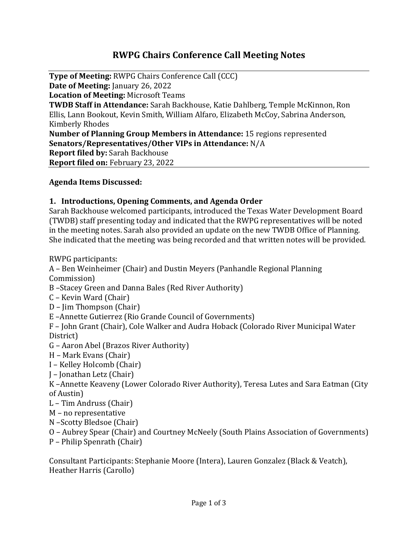# **RWPG Chairs Conference Call Meeting Notes**

**Type of Meeting:** RWPG Chairs Conference Call (CCC) **Date of Meeting:** January 26, 2022 **Location of Meeting:** Microsoft Teams **TWDB Staff in Attendance:** Sarah Backhouse, Katie Dahlberg, Temple McKinnon, Ron Ellis, Lann Bookout, Kevin Smith, William Alfaro, Elizabeth McCoy, Sabrina Anderson, Kimberly Rhodes **Number of Planning Group Members in Attendance:** 15 regions represented **Senators/Representatives/Other VIPs in Attendance:** N/A **Report filed by:** Sarah Backhouse **Report filed on:** February 23, 2022

#### **Agenda Items Discussed:**

#### **1. Introductions, Opening Comments, and Agenda Order**

Sarah Backhouse welcomed participants, introduced the Texas Water Development Board (TWDB) staff presenting today and indicated that the RWPG representatives will be noted in the meeting notes. Sarah also provided an update on the new TWDB Office of Planning. She indicated that the meeting was being recorded and that written notes will be provided.

RWPG participants:

A – Ben Weinheimer (Chair) and Dustin Meyers (Panhandle Regional Planning Commission)

- B –Stacey Green and Danna Bales (Red River Authority)
- C Kevin Ward (Chair)
- D Jim Thompson (Chair)
- E –Annette Gutierrez (Rio Grande Council of Governments)
- F John Grant (Chair), Cole Walker and Audra Hoback (Colorado River Municipal Water District)
- G Aaron Abel (Brazos River Authority)
- H Mark Evans (Chair)
- I Kelley Holcomb (Chair)
- J Jonathan Letz (Chair)
- K –Annette Keaveny (Lower Colorado River Authority), Teresa Lutes and Sara Eatman (City of Austin)
- L Tim Andruss (Chair)
- M no representative
- N –Scotty Bledsoe (Chair)
- O Aubrey Spear (Chair) and Courtney McNeely (South Plains Association of Governments)
- P Philip Spenrath (Chair)

Consultant Participants: Stephanie Moore (Intera), Lauren Gonzalez (Black & Veatch), Heather Harris (Carollo)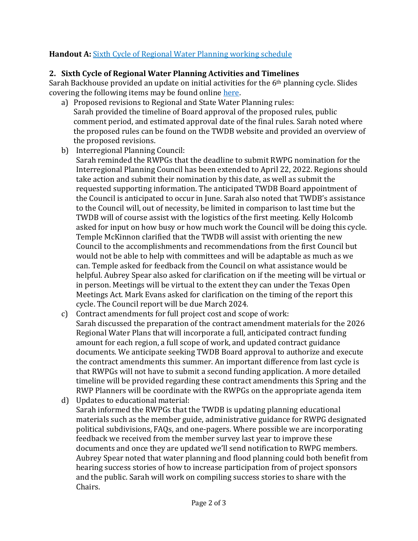# **Handout A:** [Sixth Cycle of Regional Water Planning working schedule](http://www.twdb.texas.gov/waterplanning/rwp/planningdocu/2026/projectdocs/Working_Schedule_2026RWPs.pdf)

## **2. Sixth Cycle of Regional Water Planning Activities and Timelines**

Sarah Backhouse provided an update on initial activities for the 6<sup>th</sup> planning cycle. Slides covering the following items may be found online [here.](https://www.twdb.texas.gov/waterplanning/rwp/planningdocu/2026/chairscalls/20220126/2026RWP_Activities_Timelines_ChairsConfCall.pdf)

- a) Proposed revisions to Regional and State Water Planning rules: Sarah provided the timeline of Board approval of the proposed rules, public comment period, and estimated approval date of the final rules. Sarah noted where the proposed rules can be found on the TWDB website and provided an overview of the proposed revisions.
- b) Interregional Planning Council:
	- Sarah reminded the RWPGs that the deadline to submit RWPG nomination for the Interregional Planning Council has been extended to April 22, 2022. Regions should take action and submit their nomination by this date, as well as submit the requested supporting information. The anticipated TWDB Board appointment of the Council is anticipated to occur in June. Sarah also noted that TWDB's assistance to the Council will, out of necessity, be limited in comparison to last time but the TWDB will of course assist with the logistics of the first meeting. Kelly Holcomb asked for input on how busy or how much work the Council will be doing this cycle. Temple McKinnon clarified that the TWDB will assist with orienting the new Council to the accomplishments and recommendations from the first Council but would not be able to help with committees and will be adaptable as much as we can. Temple asked for feedback from the Council on what assistance would be helpful. Aubrey Spear also asked for clarification on if the meeting will be virtual or in person. Meetings will be virtual to the extent they can under the Texas Open Meetings Act. Mark Evans asked for clarification on the timing of the report this cycle. The Council report will be due March 2024.
- c) Contract amendments for full project cost and scope of work: Sarah discussed the preparation of the contract amendment materials for the 2026 Regional Water Plans that will incorporate a full, anticipated contract funding amount for each region, a full scope of work, and updated contract guidance documents. We anticipate seeking TWDB Board approval to authorize and execute the contract amendments this summer. An important difference from last cycle is that RWPGs will not have to submit a second funding application. A more detailed timeline will be provided regarding these contract amendments this Spring and the RWP Planners will be coordinate with the RWPGs on the appropriate agenda item
- d) Updates to educational material: Sarah informed the RWPGs that the TWDB is updating planning educational materials such as the member guide, administrative guidance for RWPG designated political subdivisions, FAQs, and one-pagers. Where possible we are incorporating feedback we received from the member survey last year to improve these documents and once they are updated we'll send notification to RWPG members. Aubrey Spear noted that water planning and flood planning could both benefit from hearing success stories of how to increase participation from of project sponsors and the public. Sarah will work on compiling success stories to share with the Chairs.